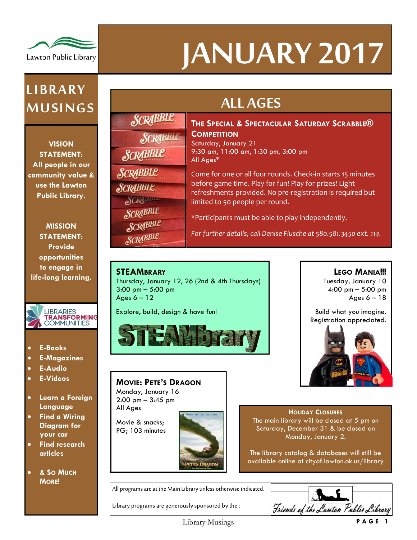

# **JANUARY 2017**

## **LI B RA RY M U SI NG S**

**VISION STATEMENT: All people in our community value & use the Lawton Public Library.**

**MISSION STATEMENT: Provide opportunities to engage in life-long learning.**



- **E-Books**
- **E-Magazines**
- **E-Audio**
- **E-Videos**
- **Learn a Foreign Language**
- **Find a Wiring Diagram for your car**
- **Find research articles**
- **& SO MUCH MORE!**

| <b>SCRABBLE</b> |
|-----------------|
| SCRABBLE        |
| <b>SCRABBLE</b> |
| <b>SCRABBLE</b> |
| <b>SCRABBLE</b> |
| e)CRIBER        |
| SCRABBLE        |
| <b>SCRABBLE</b> |
| <b>SCRABBLE</b> |

# **ALL AGES**

#### **THE SPECIAL & SPECTACULAR SATURDAY SCRABBLE® COMPETITION**

Saturday, January 21 9:30 am, 11:00 am, 1:30 pm, 3:00 pm All Ages\*

Come for one or all four rounds. Check-in starts 15 minutes before game time. Play for fun! Play for prizes! Light refreshments provided. No pre-registration is required but limited to 50 people per round.

\*Participants must be able to play independently.

*For further details, call Denise Flusche at 580.581.3450 ext. 114.*

#### **STEAMBRARY**

Thursday, January 12, 26 (2nd & 4th Thursdays) 3:00 pm – 5:00 pm Ages  $6 - 12$ 

Explore, build, design & have fun!



#### **MOVIE: PETE'S DRAGON**

Monday, January 16 2:00 pm – 3:45 pm All Ages

Movie & snacks; PG; 103 minutes



**LEGO MANIA!!!** Tuesday, January 10

4:00 pm – 5:00 pm Ages  $6 - 18$ 

Build what you imagine. Registration appreciated.



#### **HOLIDAY CLOSURES** The main library will be closed at 5 pm on Saturday, December 31 & be closed on Monday, January 2.

The library catalog & databases will still be available online at cityof.lawton.ok.us/library

All programs are at the Main Library unless otherwise indicated.

Library programs are generously sponsored by the :

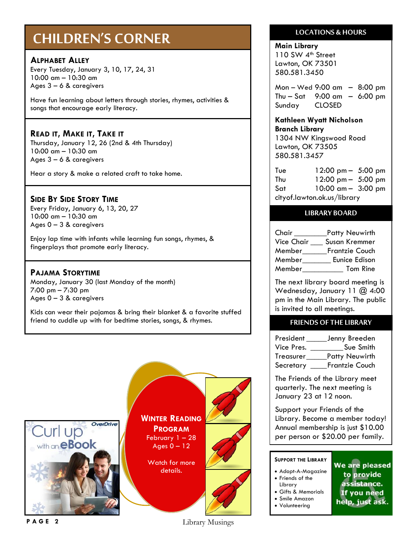## **CHILDREN'S CORNER**

#### **ALPHABET ALLEY**

Every Tuesday, January 3, 10, 17, 24, 31 10:00 am – 10:30 am Ages 3 – 6 & caregivers

Have fun learning about letters through stories, rhymes, activities & songs that encourage early literacy.

#### **READ IT, MAKE IT, TAKE IT**

Thursday, January 12, 26 (2nd & 4th Thursday) 10:00 am – 10:30 am Ages 3 – 6 & caregivers

Hear a story & make a related craft to take home.

#### **SIDE BY SIDE STORY TIME**

Every Friday, January 6, 13, 20, 27 10:00 am – 10:30 am Ages  $0 - 3$  & caregivers

Enjoy lap time with infants while learning fun songs, rhymes, & fingerplays that promote early literacy.

#### **PAJAMA STORYTIME**

Monday, January 30 (last Monday of the month) 7:00 pm – 7:30 pm Ages  $0 - 3$  & caregivers

Kids can wear their pajamas & bring their blanket & a favorite stuffed friend to cuddle up with for bedtime stories, songs, & rhymes.



#### **LOCATIONS & HOURS**

**Main Library** 110 SW 4<sup>th</sup> Street Lawton, OK 73501 580.581.3450

580.581.3457

Mon – Wed 9:00 am – 8:00 pm Thu – Sat 9:00 am – 6:00 pm Sunday CLOSED

#### **Kathleen Wyatt Nicholson Branch Library** 1304 NW Kingswood Road Lawton, OK 73505

Tue 12:00 pm – 5:00 pm Thu 12:00 pm – 5:00 pm Sat 10:00 am – 3:00 pm cityof.lawton.ok.us/library

#### **LIBRARY BOARD**

Chair Patty Neuwirth Vice Chair \_\_\_ Susan Kremmer Member\_\_\_\_\_\_Frantzie Couch Member\_\_\_\_\_\_\_ Eunice Edison Member **Tom Rine** 

The next library board meeting is Wednesday, January 11 @ 4:00 pm in the Main Library. The public is invited to all meetings.

#### **FRIENDS OF THE LIBRARY**

President \_\_\_\_\_\_\_ Jenny Breeden Vice Pres. \_\_\_\_\_\_\_\_\_\_\_Sue Smith Treasurer\_\_\_\_\_Patty Neuwirth Secretary \_\_\_\_Frantzie Couch

The Friends of the Library meet quarterly. The next meeting is January 23 at 12 noon.

Support your Friends of the Library. Become a member today! Annual membership is just \$10.00 per person or \$20.00 per family.

#### **SUPPORT THE LIBRARY**

- Adopt-A-Magazine
- Friends of the Library
- Gifts & Memorials
- Smile Amazon
- Volunteering

We are pleased to provide assistance. If you need help, just ask.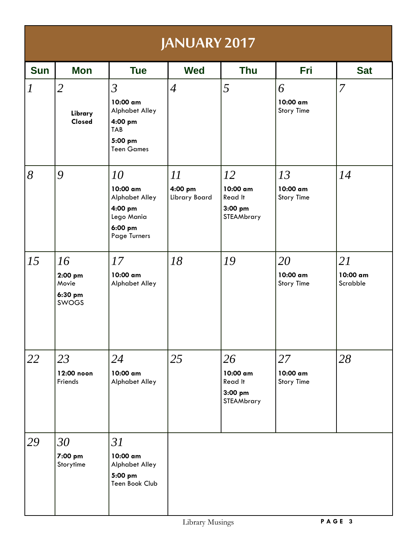| <b>JANUARY 2017</b> |                                                   |                                                                                                    |                                |                                                      |                                     |                            |  |
|---------------------|---------------------------------------------------|----------------------------------------------------------------------------------------------------|--------------------------------|------------------------------------------------------|-------------------------------------|----------------------------|--|
| <b>Sun</b>          | <b>Mon</b>                                        | <b>Tue</b>                                                                                         | <b>Wed</b>                     | <b>Thu</b>                                           | Fri                                 | <b>Sat</b>                 |  |
| $\boldsymbol{l}$    | $\overline{2}$<br>Library<br>Closed               | $\mathfrak{Z}$<br>10:00 am<br>Alphabet Alley<br>4:00 pm<br>TAB<br>5:00 pm<br><b>Teen Games</b>     | $\overline{4}$                 | 5                                                    | 6<br>10:00 am<br><b>Story Time</b>  | $\overline{7}$             |  |
| 8                   | 9                                                 | 10<br>10:00 am<br><b>Alphabet Alley</b><br>4:00 pm<br>Lego Mania<br>6:00 pm<br><b>Page Turners</b> | 11<br>4:00 pm<br>Library Board | 12<br>10:00 am<br>Read It<br>$3:00$ pm<br>STEAMbrary | 13<br>10:00 am<br><b>Story Time</b> | 14                         |  |
| 15                  | 16<br>2:00 pm<br>Movie<br>6:30 pm<br><b>SWOGS</b> | 17<br>10:00 am<br><b>Alphabet Alley</b>                                                            | 18                             | 19                                                   | 20<br>10:00 am<br><b>Story Time</b> | 21<br>10:00 am<br>Scrabble |  |
| 22                  | 23<br>12:00 noon<br>Friends                       | 24<br>10:00 am<br>Alphabet Alley                                                                   | 25                             | 26<br>10:00 am<br>Read It<br>$3:00$ pm<br>STEAMbrary | 27<br>10:00 am<br><b>Story Time</b> | 28                         |  |
| 29                  | 30<br>7:00 pm<br>Storytime                        | 31<br>10:00 am<br>Alphabet Alley<br>5:00 pm<br>Teen Book Club                                      |                                |                                                      |                                     |                            |  |